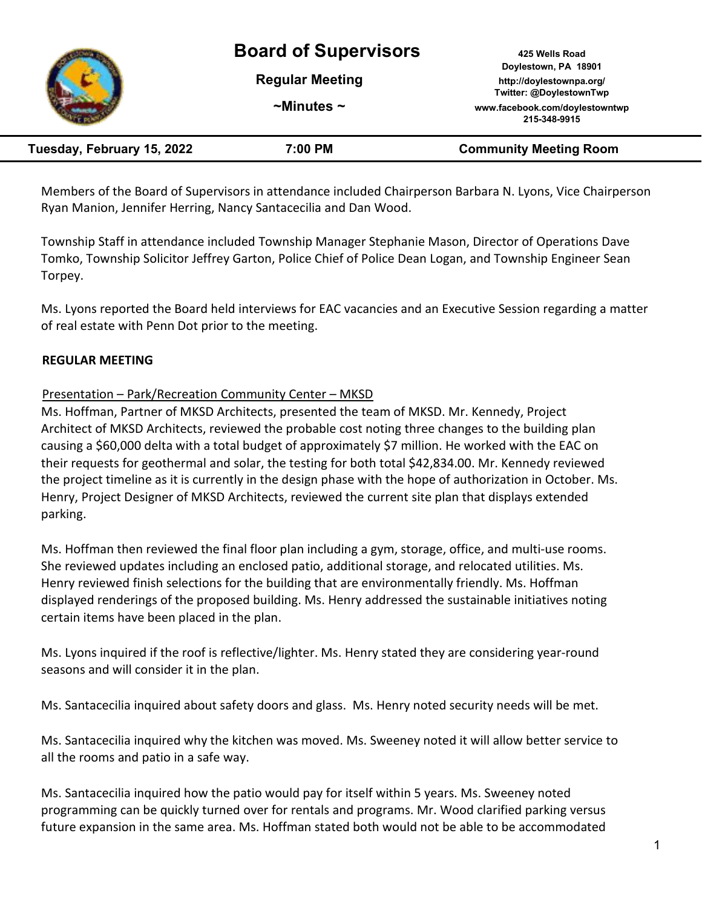# **Board of Supervisors 425 Wells Road**



**Doylestown, PA 18901 Regular Meeting http://doylestownpa.org/ Twitter: @DoylestownTwp ~Minutes ~ www.facebook.com/doylestowntwp 215-348-9915**

| Tuesday, February 15, 2022 | 7:00 PM | <b>Community Meeting Room</b> |
|----------------------------|---------|-------------------------------|
|----------------------------|---------|-------------------------------|

Members of the Board of Supervisors in attendance included Chairperson Barbara N. Lyons, Vice Chairperson Ryan Manion, Jennifer Herring, Nancy Santacecilia and Dan Wood.

Township Staff in attendance included Township Manager Stephanie Mason, Director of Operations Dave Tomko, Township Solicitor Jeffrey Garton, Police Chief of Police Dean Logan, and Township Engineer Sean Torpey.

Ms. Lyons reported the Board held interviews for EAC vacancies and an Executive Session regarding a matter of real estate with Penn Dot prior to the meeting.

# **REGULAR MEETING**

# Presentation – Park/Recreation Community Center – MKSD

Ms. Hoffman, Partner of MKSD Architects, presented the team of MKSD. Mr. Kennedy, Project Architect of MKSD Architects, reviewed the probable cost noting three changes to the building plan causing a \$60,000 delta with a total budget of approximately \$7 million. He worked with the EAC on their requests for geothermal and solar, the testing for both total \$42,834.00. Mr. Kennedy reviewed the project timeline as it is currently in the design phase with the hope of authorization in October. Ms. Henry, Project Designer of MKSD Architects, reviewed the current site plan that displays extended parking.

Ms. Hoffman then reviewed the final floor plan including a gym, storage, office, and multi-use rooms. She reviewed updates including an enclosed patio, additional storage, and relocated utilities. Ms. Henry reviewed finish selections for the building that are environmentally friendly. Ms. Hoffman displayed renderings of the proposed building. Ms. Henry addressed the sustainable initiatives noting certain items have been placed in the plan.

Ms. Lyons inquired if the roof is reflective/lighter. Ms. Henry stated they are considering year-round seasons and will consider it in the plan.

Ms. Santacecilia inquired about safety doors and glass. Ms. Henry noted security needs will be met.

Ms. Santacecilia inquired why the kitchen was moved. Ms. Sweeney noted it will allow better service to all the rooms and patio in a safe way.

Ms. Santacecilia inquired how the patio would pay for itself within 5 years. Ms. Sweeney noted programming can be quickly turned over for rentals and programs. Mr. Wood clarified parking versus future expansion in the same area. Ms. Hoffman stated both would not be able to be accommodated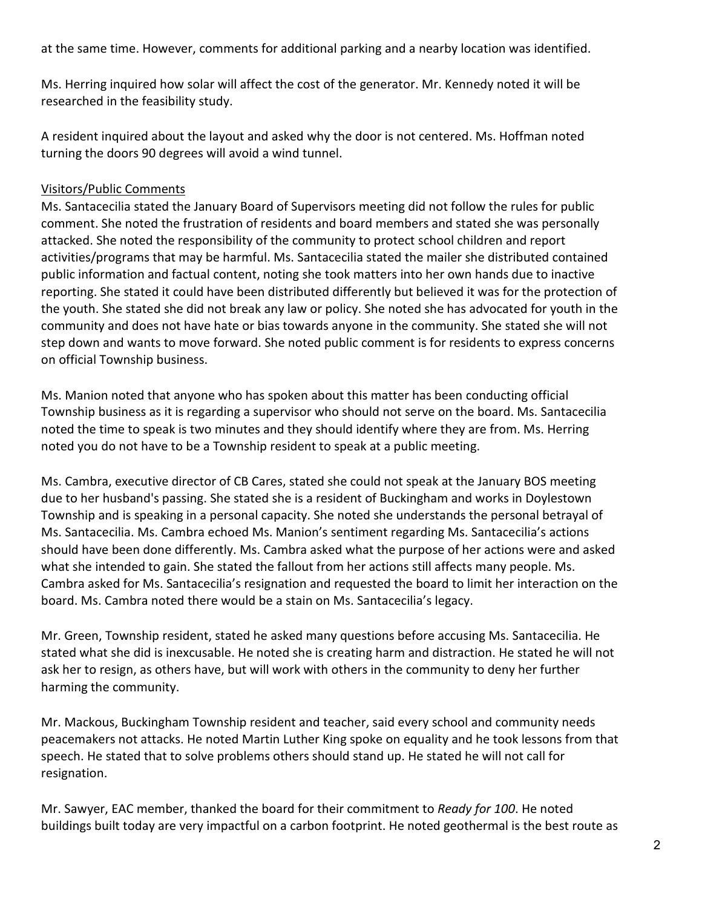at the same time. However, comments for additional parking and a nearby location was identified.

Ms. Herring inquired how solar will affect the cost of the generator. Mr. Kennedy noted it will be researched in the feasibility study.

A resident inquired about the layout and asked why the door is not centered. Ms. Hoffman noted turning the doors 90 degrees will avoid a wind tunnel.

# Visitors/Public Comments

Ms. Santacecilia stated the January Board of Supervisors meeting did not follow the rules for public comment. She noted the frustration of residents and board members and stated she was personally attacked. She noted the responsibility of the community to protect school children and report activities/programs that may be harmful. Ms. Santacecilia stated the mailer she distributed contained public information and factual content, noting she took matters into her own hands due to inactive reporting. She stated it could have been distributed differently but believed it was for the protection of the youth. She stated she did not break any law or policy. She noted she has advocated for youth in the community and does not have hate or bias towards anyone in the community. She stated she will not step down and wants to move forward. She noted public comment is for residents to express concerns on official Township business.

Ms. Manion noted that anyone who has spoken about this matter has been conducting official Township business as it is regarding a supervisor who should not serve on the board. Ms. Santacecilia noted the time to speak is two minutes and they should identify where they are from. Ms. Herring noted you do not have to be a Township resident to speak at a public meeting.

Ms. Cambra, executive director of CB Cares, stated she could not speak at the January BOS meeting due to her husband's passing. She stated she is a resident of Buckingham and works in Doylestown Township and is speaking in a personal capacity. She noted she understands the personal betrayal of Ms. Santacecilia. Ms. Cambra echoed Ms. Manion's sentiment regarding Ms. Santacecilia's actions should have been done differently. Ms. Cambra asked what the purpose of her actions were and asked what she intended to gain. She stated the fallout from her actions still affects many people. Ms. Cambra asked for Ms. Santacecilia's resignation and requested the board to limit her interaction on the board. Ms. Cambra noted there would be a stain on Ms. Santacecilia's legacy.

Mr. Green, Township resident, stated he asked many questions before accusing Ms. Santacecilia. He stated what she did is inexcusable. He noted she is creating harm and distraction. He stated he will not ask her to resign, as others have, but will work with others in the community to deny her further harming the community.

Mr. Mackous, Buckingham Township resident and teacher, said every school and community needs peacemakers not attacks. He noted Martin Luther King spoke on equality and he took lessons from that speech. He stated that to solve problems others should stand up. He stated he will not call for resignation.

Mr. Sawyer, EAC member, thanked the board for their commitment to *Ready for 100*. He noted buildings built today are very impactful on a carbon footprint. He noted geothermal is the best route as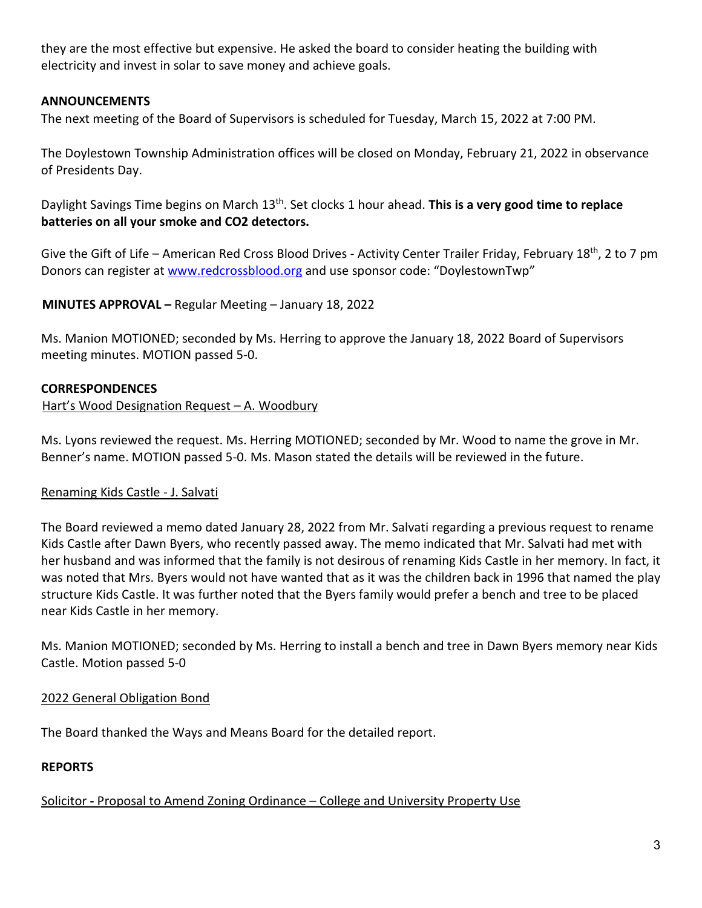they are the most effective but expensive. He asked the board to consider heating the building with electricity and invest in solar to save money and achieve goals.

# **ANNOUNCEMENTS**

The next meeting of the Board of Supervisors is scheduled for Tuesday, March 15, 2022 at 7:00 PM.

The Doylestown Township Administration offices will be closed on Monday, February 21, 2022 in observance of Presidents Day.

Daylight Savings Time begins on March 13th. Set clocks 1 hour ahead. **This is a very good time to replace batteries on all your smoke and CO2 detectors.** 

Give the Gift of Life – American Red Cross Blood Drives - Activity Center Trailer Friday, February 18<sup>th</sup>, 2 to 7 pm Donors can register at www.redcrossblood.org and use sponsor code: "DoylestownTwp"

**MINUTES APPROVAL –** Regular Meeting – January 18, 2022

Ms. Manion MOTIONED; seconded by Ms. Herring to approve the January 18, 2022 Board of Supervisors meeting minutes. MOTION passed 5-0.

# **CORRESPONDENCES**

#### Hart's Wood Designation Request – A. Woodbury

Ms. Lyons reviewed the request. Ms. Herring MOTIONED; seconded by Mr. Wood to name the grove in Mr. Benner's name. MOTION passed 5-0. Ms. Mason stated the details will be reviewed in the future.

## Renaming Kids Castle - J. Salvati

The Board reviewed a memo dated January 28, 2022 from Mr. Salvati regarding a previous request to rename Kids Castle after Dawn Byers, who recently passed away. The memo indicated that Mr. Salvati had met with her husband and was informed that the family is not desirous of renaming Kids Castle in her memory. In fact, it was noted that Mrs. Byers would not have wanted that as it was the children back in 1996 that named the play structure Kids Castle. It was further noted that the Byers family would prefer a bench and tree to be placed near Kids Castle in her memory.

Ms. Manion MOTIONED; seconded by Ms. Herring to install a bench and tree in Dawn Byers memory near Kids Castle. Motion passed 5-0

## 2022 General Obligation Bond

The Board thanked the Ways and Means Board for the detailed report.

## **REPORTS**

## Solicitor **-** Proposal to Amend Zoning Ordinance – College and University Property Use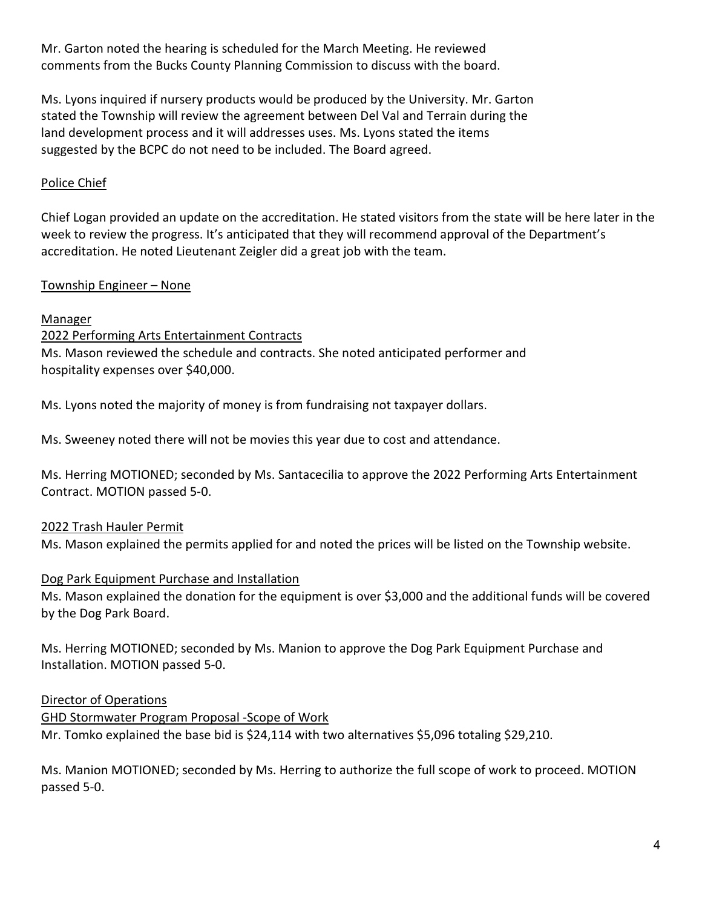Mr. Garton noted the hearing is scheduled for the March Meeting. He reviewed comments from the Bucks County Planning Commission to discuss with the board.

Ms. Lyons inquired if nursery products would be produced by the University. Mr. Garton stated the Township will review the agreement between Del Val and Terrain during the land development process and it will addresses uses. Ms. Lyons stated the items suggested by the BCPC do not need to be included. The Board agreed.

# Police Chief

Chief Logan provided an update on the accreditation. He stated visitors from the state will be here later in the week to review the progress. It's anticipated that they will recommend approval of the Department's accreditation. He noted Lieutenant Zeigler did a great job with the team.

# Township Engineer – None

# Manager

2022 Performing Arts Entertainment Contracts Ms. Mason reviewed the schedule and contracts. She noted anticipated performer and hospitality expenses over \$40,000.

Ms. Lyons noted the majority of money is from fundraising not taxpayer dollars.

Ms. Sweeney noted there will not be movies this year due to cost and attendance.

Ms. Herring MOTIONED; seconded by Ms. Santacecilia to approve the 2022 Performing Arts Entertainment Contract. MOTION passed 5-0.

# 2022 Trash Hauler Permit

Ms. Mason explained the permits applied for and noted the prices will be listed on the Township website.

## Dog Park Equipment Purchase and Installation

Ms. Mason explained the donation for the equipment is over \$3,000 and the additional funds will be covered by the Dog Park Board.

Ms. Herring MOTIONED; seconded by Ms. Manion to approve the Dog Park Equipment Purchase and Installation. MOTION passed 5-0.

## Director of Operations

GHD Stormwater Program Proposal -Scope of Work Mr. Tomko explained the base bid is \$24,114 with two alternatives \$5,096 totaling \$29,210.

Ms. Manion MOTIONED; seconded by Ms. Herring to authorize the full scope of work to proceed. MOTION passed 5-0.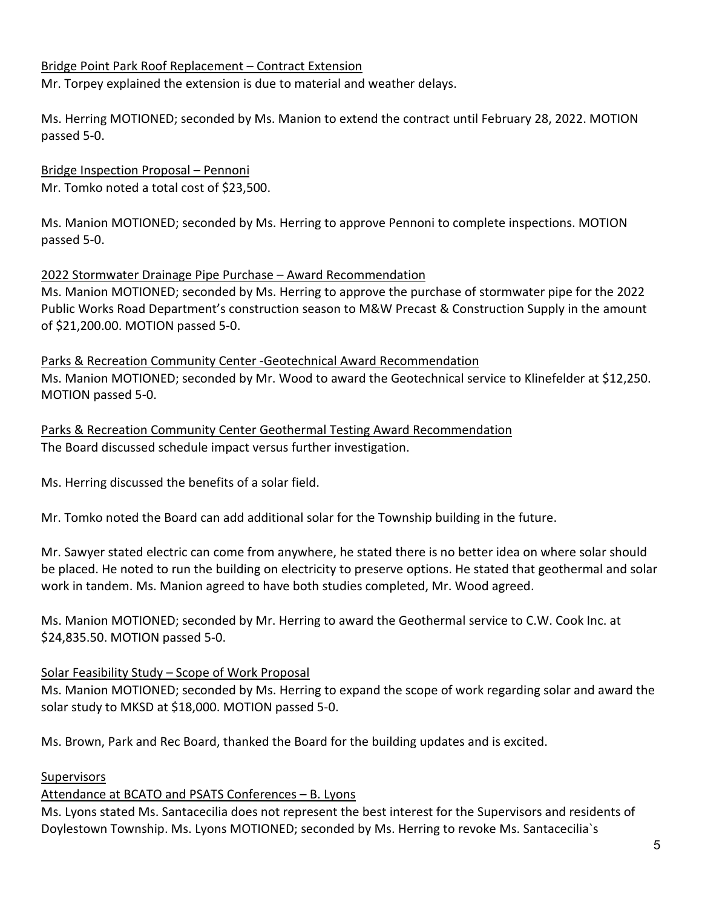# Bridge Point Park Roof Replacement – Contract Extension

Mr. Torpey explained the extension is due to material and weather delays.

Ms. Herring MOTIONED; seconded by Ms. Manion to extend the contract until February 28, 2022. MOTION passed 5-0.

Bridge Inspection Proposal – Pennoni Mr. Tomko noted a total cost of \$23,500.

Ms. Manion MOTIONED; seconded by Ms. Herring to approve Pennoni to complete inspections. MOTION passed 5-0.

#### 2022 Stormwater Drainage Pipe Purchase – Award Recommendation

Ms. Manion MOTIONED; seconded by Ms. Herring to approve the purchase of stormwater pipe for the 2022 Public Works Road Department's construction season to M&W Precast & Construction Supply in the amount of \$21,200.00. MOTION passed 5-0.

Parks & Recreation Community Center -Geotechnical Award Recommendation Ms. Manion MOTIONED; seconded by Mr. Wood to award the Geotechnical service to Klinefelder at \$12,250. MOTION passed 5-0.

Parks & Recreation Community Center Geothermal Testing Award Recommendation The Board discussed schedule impact versus further investigation.

Ms. Herring discussed the benefits of a solar field.

Mr. Tomko noted the Board can add additional solar for the Township building in the future.

Mr. Sawyer stated electric can come from anywhere, he stated there is no better idea on where solar should be placed. He noted to run the building on electricity to preserve options. He stated that geothermal and solar work in tandem. Ms. Manion agreed to have both studies completed, Mr. Wood agreed.

Ms. Manion MOTIONED; seconded by Mr. Herring to award the Geothermal service to C.W. Cook Inc. at \$24,835.50. MOTION passed 5-0.

## Solar Feasibility Study – Scope of Work Proposal

Ms. Manion MOTIONED; seconded by Ms. Herring to expand the scope of work regarding solar and award the solar study to MKSD at \$18,000. MOTION passed 5-0.

Ms. Brown, Park and Rec Board, thanked the Board for the building updates and is excited.

#### Supervisors

## Attendance at BCATO and PSATS Conferences – B. Lyons

Ms. Lyons stated Ms. Santacecilia does not represent the best interest for the Supervisors and residents of Doylestown Township. Ms. Lyons MOTIONED; seconded by Ms. Herring to revoke Ms. Santacecilia`s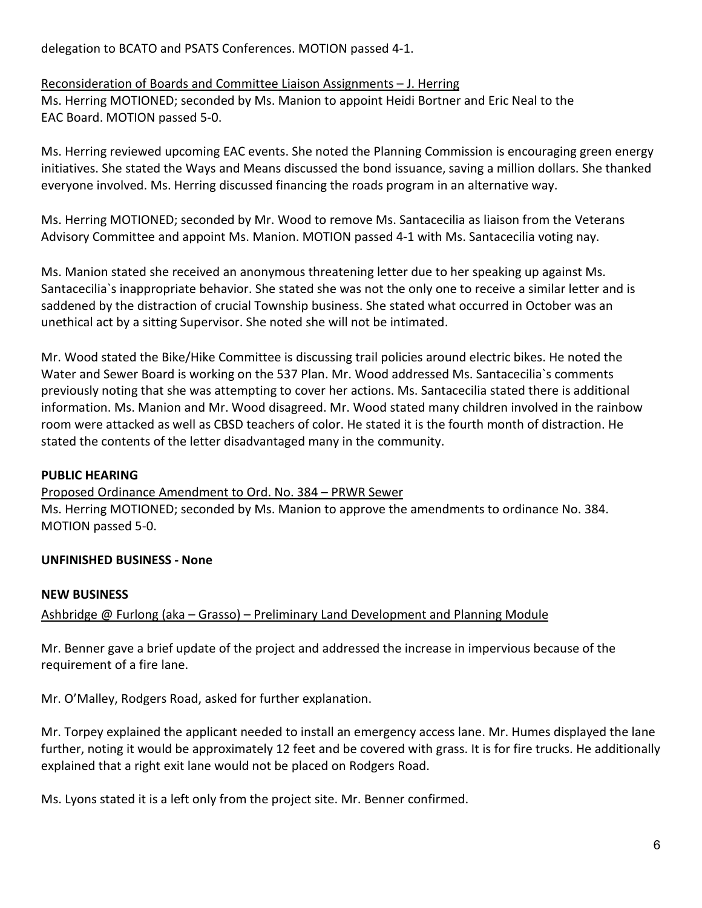delegation to BCATO and PSATS Conferences. MOTION passed 4-1.

#### Reconsideration of Boards and Committee Liaison Assignments – J. Herring Ms. Herring MOTIONED; seconded by Ms. Manion to appoint Heidi Bortner and Eric Neal to the EAC Board. MOTION passed 5-0.

Ms. Herring reviewed upcoming EAC events. She noted the Planning Commission is encouraging green energy initiatives. She stated the Ways and Means discussed the bond issuance, saving a million dollars. She thanked everyone involved. Ms. Herring discussed financing the roads program in an alternative way.

Ms. Herring MOTIONED; seconded by Mr. Wood to remove Ms. Santacecilia as liaison from the Veterans Advisory Committee and appoint Ms. Manion. MOTION passed 4-1 with Ms. Santacecilia voting nay.

Ms. Manion stated she received an anonymous threatening letter due to her speaking up against Ms. Santacecilia`s inappropriate behavior. She stated she was not the only one to receive a similar letter and is saddened by the distraction of crucial Township business. She stated what occurred in October was an unethical act by a sitting Supervisor. She noted she will not be intimated.

Mr. Wood stated the Bike/Hike Committee is discussing trail policies around electric bikes. He noted the Water and Sewer Board is working on the 537 Plan. Mr. Wood addressed Ms. Santacecilia`s comments previously noting that she was attempting to cover her actions. Ms. Santacecilia stated there is additional information. Ms. Manion and Mr. Wood disagreed. Mr. Wood stated many children involved in the rainbow room were attacked as well as CBSD teachers of color. He stated it is the fourth month of distraction. He stated the contents of the letter disadvantaged many in the community.

# **PUBLIC HEARING**

## Proposed Ordinance Amendment to Ord. No. 384 – PRWR Sewer

Ms. Herring MOTIONED; seconded by Ms. Manion to approve the amendments to ordinance No. 384. MOTION passed 5-0.

# **UNFINISHED BUSINESS - None**

## **NEW BUSINESS**

# Ashbridge @ Furlong (aka – Grasso) – Preliminary Land Development and Planning Module

Mr. Benner gave a brief update of the project and addressed the increase in impervious because of the requirement of a fire lane.

Mr. O'Malley, Rodgers Road, asked for further explanation.

Mr. Torpey explained the applicant needed to install an emergency access lane. Mr. Humes displayed the lane further, noting it would be approximately 12 feet and be covered with grass. It is for fire trucks. He additionally explained that a right exit lane would not be placed on Rodgers Road.

Ms. Lyons stated it is a left only from the project site. Mr. Benner confirmed.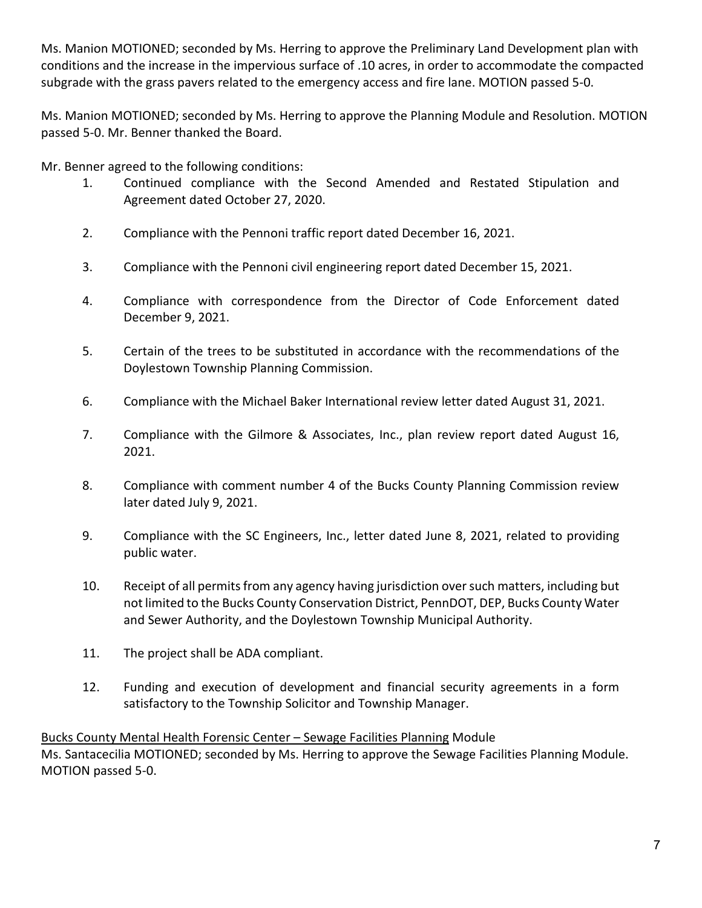Ms. Manion MOTIONED; seconded by Ms. Herring to approve the Preliminary Land Development plan with conditions and the increase in the impervious surface of .10 acres, in order to accommodate the compacted subgrade with the grass pavers related to the emergency access and fire lane. MOTION passed 5-0.

Ms. Manion MOTIONED; seconded by Ms. Herring to approve the Planning Module and Resolution. MOTION passed 5-0. Mr. Benner thanked the Board.

Mr. Benner agreed to the following conditions:

- 1. Continued compliance with the Second Amended and Restated Stipulation and Agreement dated October 27, 2020.
- 2. Compliance with the Pennoni traffic report dated December 16, 2021.
- 3. Compliance with the Pennoni civil engineering report dated December 15, 2021.
- 4. Compliance with correspondence from the Director of Code Enforcement dated December 9, 2021.
- 5. Certain of the trees to be substituted in accordance with the recommendations of the Doylestown Township Planning Commission.
- 6. Compliance with the Michael Baker International review letter dated August 31, 2021.
- 7. Compliance with the Gilmore & Associates, Inc., plan review report dated August 16, 2021.
- 8. Compliance with comment number 4 of the Bucks County Planning Commission review later dated July 9, 2021.
- 9. Compliance with the SC Engineers, Inc., letter dated June 8, 2021, related to providing public water.
- 10. Receipt of all permits from any agency having jurisdiction over such matters, including but not limited to the Bucks County Conservation District, PennDOT, DEP, Bucks County Water and Sewer Authority, and the Doylestown Township Municipal Authority.
- 11. The project shall be ADA compliant.
- 12. Funding and execution of development and financial security agreements in a form satisfactory to the Township Solicitor and Township Manager.

Bucks County Mental Health Forensic Center – Sewage Facilities Planning Module Ms. Santacecilia MOTIONED; seconded by Ms. Herring to approve the Sewage Facilities Planning Module. MOTION passed 5-0.